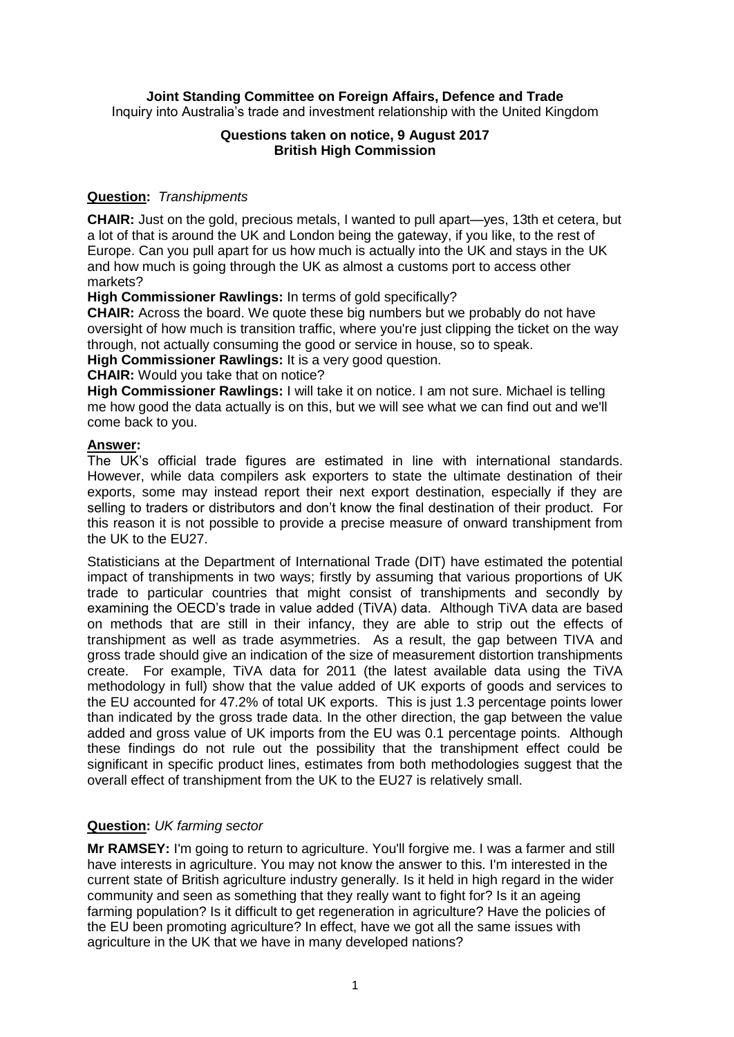# **Joint Standing Committee on Foreign Affairs, Defence and Trade**

Inquiry into Australia's trade and investment relationship with the United Kingdom

### **Questions taken on notice, 9 August 2017 British High Commission**

### **Question:** *Transhipments*

**CHAIR:** Just on the gold, precious metals, I wanted to pull apart—yes, 13th et cetera, but a lot of that is around the UK and London being the gateway, if you like, to the rest of Europe. Can you pull apart for us how much is actually into the UK and stays in the UK and how much is going through the UK as almost a customs port to access other markets?

**High Commissioner Rawlings:** In terms of gold specifically?

**CHAIR:** Across the board. We quote these big numbers but we probably do not have oversight of how much is transition traffic, where you're just clipping the ticket on the way through, not actually consuming the good or service in house, so to speak.

**High Commissioner Rawlings:** It is a very good question.

**CHAIR:** Would you take that on notice?

**High Commissioner Rawlings:** I will take it on notice. I am not sure. Michael is telling me how good the data actually is on this, but we will see what we can find out and we'll come back to you.

### **Answer:**

The UK's official trade figures are estimated in line with international standards. However, while data compilers ask exporters to state the ultimate destination of their exports, some may instead report their next export destination, especially if they are selling to traders or distributors and don't know the final destination of their product. For this reason it is not possible to provide a precise measure of onward transhipment from the UK to the EU27.

Statisticians at the Department of International Trade (DIT) have estimated the potential impact of transhipments in two ways; firstly by assuming that various proportions of UK trade to particular countries that might consist of transhipments and secondly by examining the OECD's trade in value added (TiVA) data. Although TiVA data are based on methods that are still in their infancy, they are able to strip out the effects of transhipment as well as trade asymmetries. As a result, the gap between TIVA and gross trade should give an indication of the size of measurement distortion transhipments create. For example, TiVA data for 2011 (the latest available data using the TiVA methodology in full) show that the value added of UK exports of goods and services to the EU accounted for 47.2% of total UK exports. This is just 1.3 percentage points lower than indicated by the gross trade data. In the other direction, the gap between the value added and gross value of UK imports from the EU was 0.1 percentage points. Although these findings do not rule out the possibility that the transhipment effect could be significant in specific product lines, estimates from both methodologies suggest that the overall effect of transhipment from the UK to the EU27 is relatively small.

# **Question:** *UK farming sector*

**Mr RAMSEY:** I'm going to return to agriculture. You'll forgive me. I was a farmer and still have interests in agriculture. You may not know the answer to this. I'm interested in the current state of British agriculture industry generally. Is it held in high regard in the wider community and seen as something that they really want to fight for? Is it an ageing farming population? Is it difficult to get regeneration in agriculture? Have the policies of the EU been promoting agriculture? In effect, have we got all the same issues with agriculture in the UK that we have in many developed nations?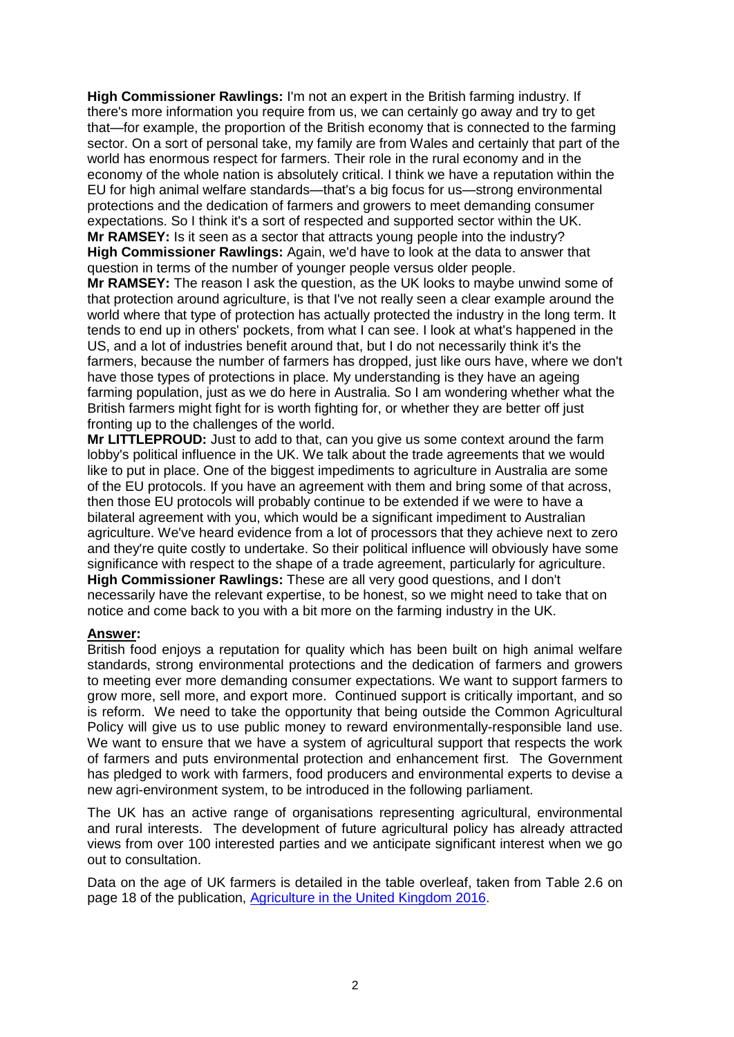**High Commissioner Rawlings:** I'm not an expert in the British farming industry. If there's more information you require from us, we can certainly go away and try to get that—for example, the proportion of the British economy that is connected to the farming sector. On a sort of personal take, my family are from Wales and certainly that part of the world has enormous respect for farmers. Their role in the rural economy and in the economy of the whole nation is absolutely critical. I think we have a reputation within the EU for high animal welfare standards—that's a big focus for us—strong environmental protections and the dedication of farmers and growers to meet demanding consumer expectations. So I think it's a sort of respected and supported sector within the UK. **Mr RAMSEY:** Is it seen as a sector that attracts young people into the industry?

**High Commissioner Rawlings:** Again, we'd have to look at the data to answer that question in terms of the number of younger people versus older people.

**Mr RAMSEY:** The reason I ask the question, as the UK looks to maybe unwind some of that protection around agriculture, is that I've not really seen a clear example around the world where that type of protection has actually protected the industry in the long term. It tends to end up in others' pockets, from what I can see. I look at what's happened in the US, and a lot of industries benefit around that, but I do not necessarily think it's the farmers, because the number of farmers has dropped, just like ours have, where we don't have those types of protections in place. My understanding is they have an ageing farming population, just as we do here in Australia. So I am wondering whether what the British farmers might fight for is worth fighting for, or whether they are better off just fronting up to the challenges of the world.

**Mr LITTLEPROUD:** Just to add to that, can you give us some context around the farm lobby's political influence in the UK. We talk about the trade agreements that we would like to put in place. One of the biggest impediments to agriculture in Australia are some of the EU protocols. If you have an agreement with them and bring some of that across, then those EU protocols will probably continue to be extended if we were to have a bilateral agreement with you, which would be a significant impediment to Australian agriculture. We've heard evidence from a lot of processors that they achieve next to zero and they're quite costly to undertake. So their political influence will obviously have some significance with respect to the shape of a trade agreement, particularly for agriculture. **High Commissioner Rawlings:** These are all very good questions, and I don't necessarily have the relevant expertise, to be honest, so we might need to take that on notice and come back to you with a bit more on the farming industry in the UK.

#### **Answer:**

British food enjoys a reputation for quality which has been built on high animal welfare standards, strong environmental protections and the dedication of farmers and growers to meeting ever more demanding consumer expectations. We want to support farmers to grow more, sell more, and export more. Continued support is critically important, and so is reform. We need to take the opportunity that being outside the Common Agricultural Policy will give us to use public money to reward environmentally-responsible land use. We want to ensure that we have a system of agricultural support that respects the work of farmers and puts environmental protection and enhancement first. The Government has pledged to work with farmers, food producers and environmental experts to devise a new agri-environment system, to be introduced in the following parliament.

The UK has an active range of organisations representing agricultural, environmental and rural interests. The development of future agricultural policy has already attracted views from over 100 interested parties and we anticipate significant interest when we go out to consultation.

Data on the age of UK farmers is detailed in the table overleaf, taken from Table 2.6 on page 18 of the publication, [Agriculture in the United Kingdom 2016.](https://www.gov.uk/government/uploads/system/uploads/attachment_data/file/629226/AUK-2016-17jul17.pdf)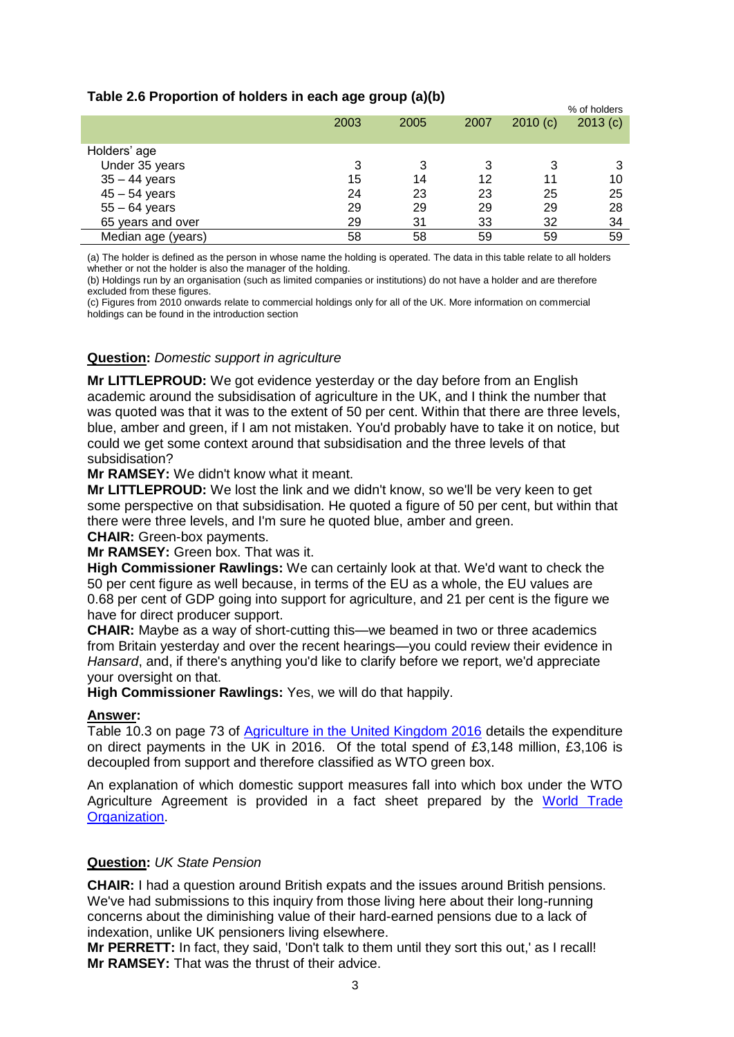| Table 2.6 Proportion of holders in each age group (a)(b) |  |  |
|----------------------------------------------------------|--|--|
|----------------------------------------------------------|--|--|

|                    |      |      |      |         | % of holders |
|--------------------|------|------|------|---------|--------------|
|                    | 2003 | 2005 | 2007 | 2010(c) | 2013(c)      |
|                    |      |      |      |         |              |
| Holders' age       |      |      |      |         |              |
| Under 35 years     | 3    | 3    | 3    | 3       |              |
| $35 - 44$ years    | 15   | 14   | 12   | 11      | 10           |
| $45 - 54$ years    | 24   | 23   | 23   | 25      | 25           |
| $55 - 64$ years    | 29   | 29   | 29   | 29      | 28           |
| 65 years and over  | 29   | 31   | 33   | 32      | 34           |
| Median age (years) | 58   | 58   | 59   | 59      | 59           |

% of holders

(a) The holder is defined as the person in whose name the holding is operated. The data in this table relate to all holders whether or not the holder is also the manager of the holding.

(b) Holdings run by an organisation (such as limited companies or institutions) do not have a holder and are therefore excluded from these figures.

(c) Figures from 2010 onwards relate to commercial holdings only for all of the UK. More information on commercial holdings can be found in the introduction section

# **Question:** *Domestic support in agriculture*

**Mr LITTLEPROUD:** We got evidence yesterday or the day before from an English academic around the subsidisation of agriculture in the UK, and I think the number that was quoted was that it was to the extent of 50 per cent. Within that there are three levels, blue, amber and green, if I am not mistaken. You'd probably have to take it on notice, but could we get some context around that subsidisation and the three levels of that subsidisation?

**Mr RAMSEY:** We didn't know what it meant.

**Mr LITTLEPROUD:** We lost the link and we didn't know, so we'll be very keen to get some perspective on that subsidisation. He quoted a figure of 50 per cent, but within that there were three levels, and I'm sure he quoted blue, amber and green. **CHAIR:** Green-box payments.

**Mr RAMSEY:** Green box. That was it.

**High Commissioner Rawlings:** We can certainly look at that. We'd want to check the 50 per cent figure as well because, in terms of the EU as a whole, the EU values are 0.68 per cent of GDP going into support for agriculture, and 21 per cent is the figure we have for direct producer support.

**CHAIR:** Maybe as a way of short-cutting this—we beamed in two or three academics from Britain yesterday and over the recent hearings—you could review their evidence in *Hansard*, and, if there's anything you'd like to clarify before we report, we'd appreciate your oversight on that.

**High Commissioner Rawlings:** Yes, we will do that happily.

# **Answer:**

Table 10.3 on page 73 of [Agriculture in the United Kingdom 2016](https://www.gov.uk/government/statistics/agriculture-in-the-united-kingdom-2016) details the expenditure on direct payments in the UK in 2016. Of the total spend of £3,148 million, £3,106 is decoupled from support and therefore classified as WTO green box.

An explanation of which domestic support measures fall into which box under the WTO Agriculture Agreement is provided in a fact sheet prepared by the World Trade [Organization.](https://www.wto.org/english/tratop_e/agric_e/agboxes_e.htm)

# **Question:** *UK State Pension*

**CHAIR:** I had a question around British expats and the issues around British pensions. We've had submissions to this inquiry from those living here about their long-running concerns about the diminishing value of their hard-earned pensions due to a lack of indexation, unlike UK pensioners living elsewhere.

**Mr PERRETT:** In fact, they said, 'Don't talk to them until they sort this out,' as I recall! **Mr RAMSEY:** That was the thrust of their advice.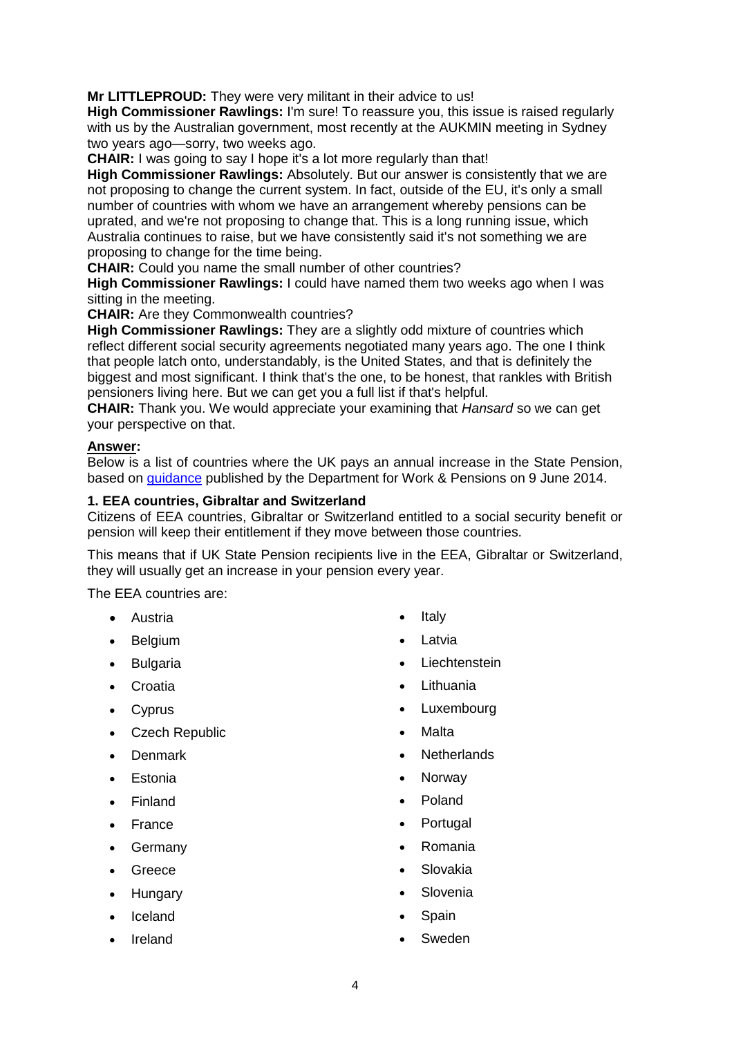**Mr LITTLEPROUD:** They were very militant in their advice to us!

**High Commissioner Rawlings:** I'm sure! To reassure you, this issue is raised regularly with us by the Australian government, most recently at the AUKMIN meeting in Sydney two years ago—sorry, two weeks ago.

**CHAIR:** I was going to say I hope it's a lot more regularly than that!

**High Commissioner Rawlings:** Absolutely. But our answer is consistently that we are not proposing to change the current system. In fact, outside of the EU, it's only a small number of countries with whom we have an arrangement whereby pensions can be uprated, and we're not proposing to change that. This is a long running issue, which Australia continues to raise, but we have consistently said it's not something we are proposing to change for the time being.

**CHAIR:** Could you name the small number of other countries?

**High Commissioner Rawlings:** I could have named them two weeks ago when I was sitting in the meeting.

**CHAIR:** Are they Commonwealth countries?

**High Commissioner Rawlings:** They are a slightly odd mixture of countries which reflect different social security agreements negotiated many years ago. The one I think that people latch onto, understandably, is the United States, and that is definitely the biggest and most significant. I think that's the one, to be honest, that rankles with British pensioners living here. But we can get you a full list if that's helpful.

**CHAIR:** Thank you. We would appreciate your examining that *Hansard* so we can get your perspective on that.

### **Answer:**

Below is a list of countries where the UK pays an annual increase in the State Pension, based on [guidance](https://www.gov.uk/government/publications/state-pensions-annual-increases-if-you-live-abroad/countries-where-we-pay-an-annual-increase-in-the-state-pension) published by the Department for Work & Pensions on 9 June 2014.

### **1. EEA countries, Gibraltar and Switzerland**

Citizens of EEA countries, Gibraltar or Switzerland entitled to a social security benefit or pension will keep their entitlement if they move between those countries.

This means that if UK State Pension recipients live in the EEA, Gibraltar or Switzerland, they will usually get an increase in your pension every year.

The EEA countries are:

- Austria
- Belgium
- Bulgaria
- Croatia
- Cyprus
- Czech Republic
- Denmark
- Estonia
- Finland
- France
- Germany
- Greece
- Hungary
- Iceland
- Ireland
- Italy
- Latvia
- **Liechtenstein**
- Lithuania
- Luxembourg
- Malta
- **Netherlands**
- Norway
- Poland
- Portugal
- Romania
- Slovakia
- Slovenia
- Spain
- Sweden